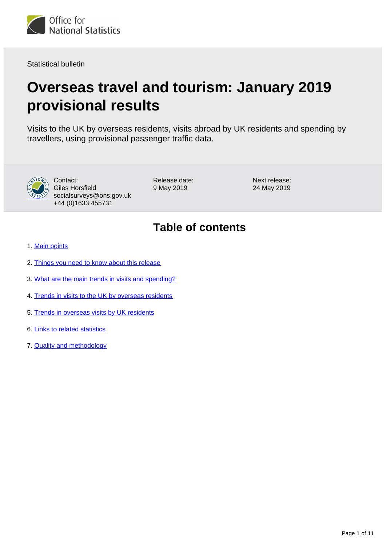<span id="page-0-0"></span>

Statistical bulletin

# **Overseas travel and tourism: January 2019 provisional results**

Visits to the UK by overseas residents, visits abroad by UK residents and spending by travellers, using provisional passenger traffic data.



Contact: Giles Horsfield socialsurveys@ons.gov.uk +44 (0)1633 455731

Release date: 9 May 2019

Next release: 24 May 2019

## **Table of contents**

- 1. [Main points](#page-1-0)
- 2. [Things you need to know about this release](#page-1-1)
- 3. [What are the main trends in visits and spending?](#page-2-0)
- 4. [Trends in visits to the UK by overseas residents](#page-3-0)
- 5. [Trends in overseas visits by UK residents](#page-5-0)
- 6. [Links to related statistics](#page-7-0)
- 7. [Quality and methodology](#page-8-0)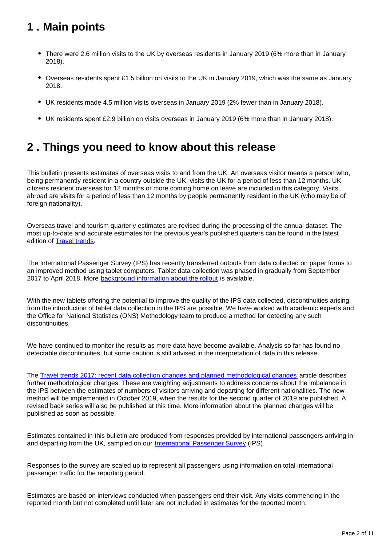## <span id="page-1-0"></span>**1 . Main points**

- There were 2.6 million visits to the UK by overseas residents in January 2019 (6% more than in January 2018).
- Overseas residents spent £1.5 billion on visits to the UK in January 2019, which was the same as January 2018.
- UK residents made 4.5 million visits overseas in January 2019 (2% fewer than in January 2018).
- UK residents spent £2.9 billion on visits overseas in January 2019 (6% more than in January 2018).

## <span id="page-1-1"></span>**2 . Things you need to know about this release**

This bulletin presents estimates of overseas visits to and from the UK. An overseas visitor means a person who, being permanently resident in a country outside the UK, visits the UK for a period of less than 12 months. UK citizens resident overseas for 12 months or more coming home on leave are included in this category. Visits abroad are visits for a period of less than 12 months by people permanently resident in the UK (who may be of foreign nationality).

Overseas travel and tourism quarterly estimates are revised during the processing of the annual dataset. The most up-to-date and accurate estimates for the previous year's published quarters can be found in the latest edition of [Travel trends.](https://www.ons.gov.uk/peoplepopulationandcommunity/leisureandtourism/articles/traveltrends/2017)

The International Passenger Survey (IPS) has recently transferred outputs from data collected on paper forms to an improved method using tablet computers. Tablet data collection was phased in gradually from September 2017 to April 2018. More **background information about the rollout** is available.

With the new tablets offering the potential to improve the quality of the IPS data collected, discontinuities arising from the introduction of tablet data collection in the IPS are possible. We have worked with academic experts and the Office for National Statistics (ONS) Methodology team to produce a method for detecting any such discontinuities.

We have continued to monitor the results as more data have become available. Analysis so far has found no detectable discontinuities, but some caution is still advised in the interpretation of data in this release.

The [Travel trends 2017: recent data collection changes and planned methodological changes](https://www.ons.gov.uk/peoplepopulationandcommunity/leisureandtourism/articles/traveltrends2017recentdatacollectionchangesandplannedmethodologicalchanges/2018-07-20) article describes further methodological changes. These are weighting adjustments to address concerns about the imbalance in the IPS between the estimates of numbers of visitors arriving and departing for different nationalities. The new method will be implemented in October 2019, when the results for the second quarter of 2019 are published. A revised back series will also be published at this time. More information about the planned changes will be published as soon as possible.

Estimates contained in this bulletin are produced from responses provided by international passengers arriving in and departing from the UK, sampled on our [International Passenger Survey](http://www.ons.gov.uk/peoplepopulationandcommunity/leisureandtourism/qmis/internationalpassengersurveyipsqmi) (IPS).

Responses to the survey are scaled up to represent all passengers using information on total international passenger traffic for the reporting period.

Estimates are based on interviews conducted when passengers end their visit. Any visits commencing in the reported month but not completed until later are not included in estimates for the reported month.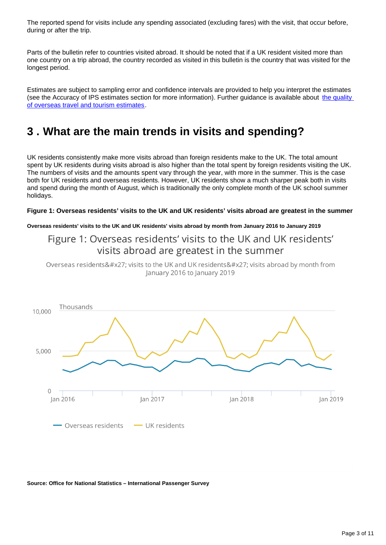The reported spend for visits include any spending associated (excluding fares) with the visit, that occur before, during or after the trip.

Parts of the bulletin refer to countries visited abroad. It should be noted that if a UK resident visited more than one country on a trip abroad, the country recorded as visited in this bulletin is the country that was visited for the longest period.

Estimates are subject to sampling error and confidence intervals are provided to help you interpret the estimates (see the Accuracy of IPS estimates section for more information). Further guidance is available about [the quality](http://www.ons.gov.uk/peoplepopulationandcommunity/leisureandtourism/qmis/internationalpassengersurveyipsqmi)  [of overseas travel and tourism estimates](http://www.ons.gov.uk/peoplepopulationandcommunity/leisureandtourism/qmis/internationalpassengersurveyipsqmi).

## <span id="page-2-0"></span>**3 . What are the main trends in visits and spending?**

UK residents consistently make more visits abroad than foreign residents make to the UK. The total amount spent by UK residents during visits abroad is also higher than the total spent by foreign residents visiting the UK. The numbers of visits and the amounts spent vary through the year, with more in the summer. This is the case both for UK residents and overseas residents. However, UK residents show a much sharper peak both in visits and spend during the month of August, which is traditionally the only complete month of the UK school summer holidays.

#### **Figure 1: Overseas residents' visits to the UK and UK residents' visits abroad are greatest in the summer**

**Overseas residents' visits to the UK and UK residents' visits abroad by month from January 2016 to January 2019**

### Figure 1: Overseas residents' visits to the UK and UK residents' visits abroad are greatest in the summer

Overseas residents' visits to the UK and UK residents' visits abroad by month from January 2016 to January 2019



#### **Source: Office for National Statistics – International Passenger Survey**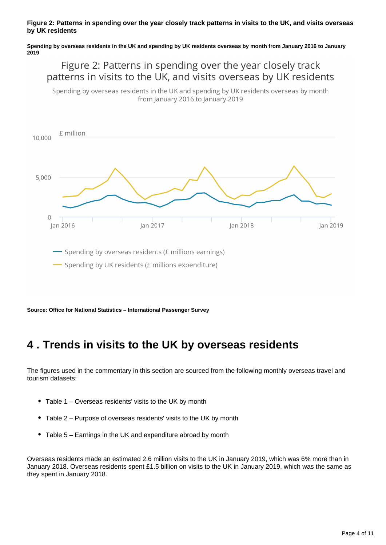#### **Figure 2: Patterns in spending over the year closely track patterns in visits to the UK, and visits overseas by UK residents**

**Spending by overseas residents in the UK and spending by UK residents overseas by month from January 2016 to January 2019**

### Figure 2: Patterns in spending over the year closely track patterns in visits to the UK, and visits overseas by UK residents

Spending by overseas residents in the UK and spending by UK residents overseas by month from January 2016 to January 2019



**Source: Office for National Statistics – International Passenger Survey**

## <span id="page-3-0"></span>**4 . Trends in visits to the UK by overseas residents**

The figures used in the commentary in this section are sourced from the following monthly overseas travel and tourism datasets:

- Table 1 Overseas residents' visits to the UK by month
- Table 2 Purpose of overseas residents' visits to the UK by month
- Table 5 Earnings in the UK and expenditure abroad by month

Overseas residents made an estimated 2.6 million visits to the UK in January 2019, which was 6% more than in January 2018. Overseas residents spent £1.5 billion on visits to the UK in January 2019, which was the same as they spent in January 2018.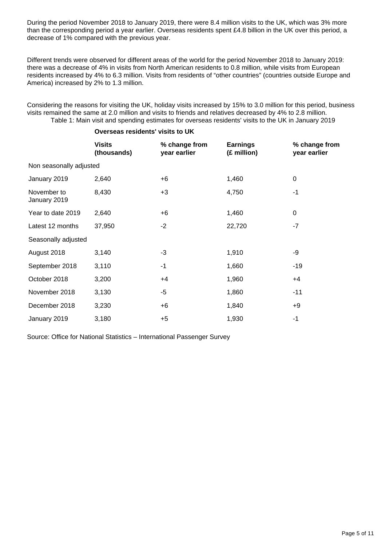During the period November 2018 to January 2019, there were 8.4 million visits to the UK, which was 3% more than the corresponding period a year earlier. Overseas residents spent £4.8 billion in the UK over this period, a decrease of 1% compared with the previous year.

Different trends were observed for different areas of the world for the period November 2018 to January 2019: there was a decrease of 4% in visits from North American residents to 0.8 million, while visits from European residents increased by 4% to 6.3 million. Visits from residents of "other countries" (countries outside Europe and America) increased by 2% to 1.3 million.

Considering the reasons for visiting the UK, holiday visits increased by 15% to 3.0 million for this period, business visits remained the same at 2.0 million and visits to friends and relatives decreased by 4% to 2.8 million. Table 1: Main visit and spending estimates for overseas residents' visits to the UK in January 2019

|                             | <b>Visits</b><br>(thousands) | % change from<br>year earlier | <b>Earnings</b><br>(£ million) | % change from<br>year earlier |
|-----------------------------|------------------------------|-------------------------------|--------------------------------|-------------------------------|
| Non seasonally adjusted     |                              |                               |                                |                               |
| January 2019                | 2,640                        | $+6$                          | 1,460                          | $\pmb{0}$                     |
| November to<br>January 2019 | 8,430                        | $+3$                          | 4,750                          | $-1$                          |
| Year to date 2019           | 2,640                        | $+6$                          | 1,460                          | $\mathbf 0$                   |
| Latest 12 months            | 37,950                       | $-2$                          | 22,720                         | $-7$                          |
| Seasonally adjusted         |                              |                               |                                |                               |
| August 2018                 | 3,140                        | $-3$                          | 1,910                          | -9                            |
| September 2018              | 3,110                        | $-1$                          | 1,660                          | $-19$                         |
| October 2018                | 3,200                        | $+4$                          | 1,960                          | $+4$                          |
| November 2018               | 3,130                        | $-5$                          | 1,860                          | $-11$                         |
| December 2018               | 3,230                        | $+6$                          | 1,840                          | +9                            |
| January 2019                | 3,180                        | $+5$                          | 1,930                          | -1                            |

**Overseas residents' visits to UK**

Source: Office for National Statistics – International Passenger Survey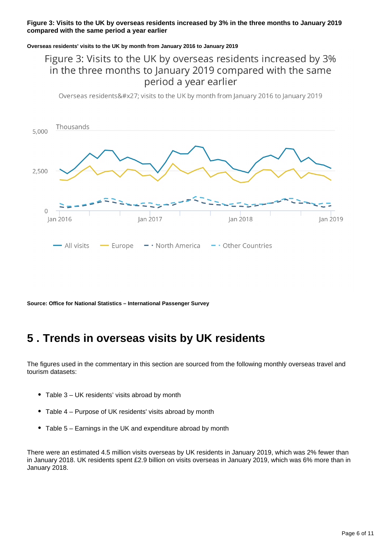### **Figure 3: Visits to the UK by overseas residents increased by 3% in the three months to January 2019 compared with the same period a year earlier**

#### **Overseas residents' visits to the UK by month from January 2016 to January 2019**

### Figure 3: Visits to the UK by overseas residents increased by 3% in the three months to January 2019 compared with the same period a year earlier

Overseas residents' visits to the UK by month from January 2016 to January 2019



**Source: Office for National Statistics – International Passenger Survey**

## <span id="page-5-0"></span>**5 . Trends in overseas visits by UK residents**

The figures used in the commentary in this section are sourced from the following monthly overseas travel and tourism datasets:

- Table 3 UK residents' visits abroad by month
- Table 4 Purpose of UK residents' visits abroad by month
- Table 5 Earnings in the UK and expenditure abroad by month

There were an estimated 4.5 million visits overseas by UK residents in January 2019, which was 2% fewer than in January 2018. UK residents spent £2.9 billion on visits overseas in January 2019, which was 6% more than in January 2018.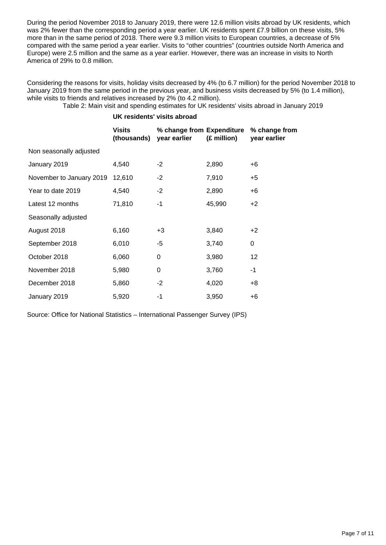During the period November 2018 to January 2019, there were 12.6 million visits abroad by UK residents, which was 2% fewer than the corresponding period a year earlier. UK residents spent £7.9 billion on these visits, 5% more than in the same period of 2018. There were 9.3 million visits to European countries, a decrease of 5% compared with the same period a year earlier. Visits to "other countries" (countries outside North America and Europe) were 2.5 million and the same as a year earlier. However, there was an increase in visits to North America of 29% to 0.8 million.

Considering the reasons for visits, holiday visits decreased by 4% (to 6.7 million) for the period November 2018 to January 2019 from the same period in the previous year, and business visits decreased by 5% (to 1.4 million), while visits to friends and relatives increased by 2% (to 4.2 million).

Table 2: Main visit and spending estimates for UK residents' visits abroad in January 2019

### **UK residents' visits abroad**

|                          | Visits<br>(thousands) | % change from Expenditure<br>year earlier | (£ million) | % change from<br>year earlier |
|--------------------------|-----------------------|-------------------------------------------|-------------|-------------------------------|
| Non seasonally adjusted  |                       |                                           |             |                               |
| January 2019             | 4,540                 | $-2$                                      | 2,890       | $+6$                          |
| November to January 2019 | 12,610                | $-2$                                      | 7,910       | $+5$                          |
| Year to date 2019        | 4,540                 | $-2$                                      | 2,890       | $+6$                          |
| Latest 12 months         | 71,810                | -1                                        | 45,990      | $+2$                          |
| Seasonally adjusted      |                       |                                           |             |                               |
| August 2018              | 6,160                 | $+3$                                      | 3,840       | $+2$                          |
| September 2018           | 6,010                 | -5                                        | 3,740       | 0                             |
| October 2018             | 6,060                 | 0                                         | 3,980       | 12                            |
| November 2018            | 5,980                 | $\mathbf 0$                               | 3,760       | -1                            |
| December 2018            | 5,860                 | $-2$                                      | 4,020       | $+8$                          |
| January 2019             | 5,920                 | -1                                        | 3,950       | $+6$                          |

Source: Office for National Statistics – International Passenger Survey (IPS)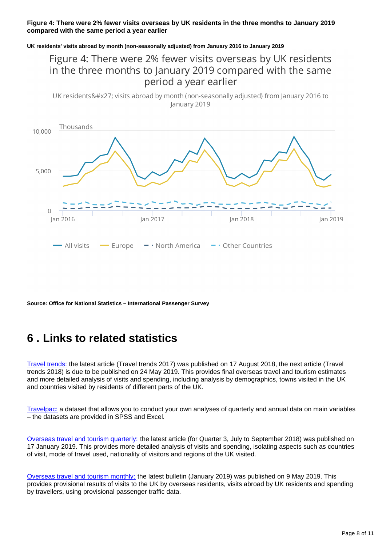### **Figure 4: There were 2% fewer visits overseas by UK residents in the three months to January 2019 compared with the same period a year earlier**

#### **UK residents' visits abroad by month (non-seasonally adjusted) from January 2016 to January 2019**

### Figure 4: There were 2% fewer visits overseas by UK residents in the three months to January 2019 compared with the same period a year earlier

UK residents' visits abroad by month (non-seasonally adjusted) from January 2016 to January 2019



**Source: Office for National Statistics – International Passenger Survey**

## <span id="page-7-0"></span>**6 . Links to related statistics**

[Travel trends:](http://www.ons.gov.uk/peoplepopulationandcommunity/leisureandtourism/articles/traveltrends/previousReleases) the latest article (Travel trends 2017) was published on 17 August 2018, the next article (Travel trends 2018) is due to be published on 24 May 2019. This provides final overseas travel and tourism estimates and more detailed analysis of visits and spending, including analysis by demographics, towns visited in the UK and countries visited by residents of different parts of the UK.

[Travelpac:](http://www.ons.gov.uk/peoplepopulationandcommunity/leisureandtourism/datasets/travelpac) a dataset that allows you to conduct your own analyses of quarterly and annual data on main variables – the datasets are provided in SPSS and Excel.

[Overseas travel and tourism quarterly:](http://www.ons.gov.uk/peoplepopulationandcommunity/leisureandtourism/articles/overseastravelandtourismprovisionalresults/previousReleases) the latest article (for Quarter 3, July to September 2018) was published on 17 January 2019. This provides more detailed analysis of visits and spending, isolating aspects such as countries of visit, mode of travel used, nationality of visitors and regions of the UK visited.

[Overseas travel and tourism monthly:](https://www.ons.gov.uk/peoplepopulationandcommunity/leisureandtourism/bulletins/overseastravelandtourism/previousReleases) the latest bulletin (January 2019) was published on 9 May 2019. This provides provisional results of visits to the UK by overseas residents, visits abroad by UK residents and spending by travellers, using provisional passenger traffic data.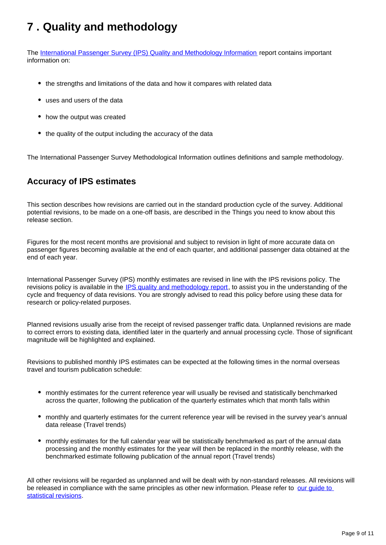## <span id="page-8-0"></span>**7 . Quality and methodology**

The [International Passenger Survey \(IPS\) Quality and Methodology Information](https://www.ons.gov.uk/peoplepopulationandcommunity/leisureandtourism/qmis/internationalpassengersurveyipsqmi) report contains important information on:

- the strengths and limitations of the data and how it compares with related data
- uses and users of the data
- how the output was created
- the quality of the output including the accuracy of the data

The International Passenger Survey Methodological Information outlines definitions and sample methodology.

### **Accuracy of IPS estimates**

This section describes how revisions are carried out in the standard production cycle of the survey. Additional potential revisions, to be made on a one-off basis, are described in the Things you need to know about this release section.

Figures for the most recent months are provisional and subject to revision in light of more accurate data on passenger figures becoming available at the end of each quarter, and additional passenger data obtained at the end of each year.

International Passenger Survey (IPS) monthly estimates are revised in line with the IPS revisions policy. The revisions policy is available in the [IPS quality and methodology report](http://www.ons.gov.uk/peoplepopulationandcommunity/leisureandtourism/qmis/internationalpassengersurveyipsqmi), to assist you in the understanding of the cycle and frequency of data revisions. You are strongly advised to read this policy before using these data for research or policy-related purposes.

Planned revisions usually arise from the receipt of revised passenger traffic data. Unplanned revisions are made to correct errors to existing data, identified later in the quarterly and annual processing cycle. Those of significant magnitude will be highlighted and explained.

Revisions to published monthly IPS estimates can be expected at the following times in the normal overseas travel and tourism publication schedule:

- monthly estimates for the current reference year will usually be revised and statistically benchmarked across the quarter, following the publication of the quarterly estimates which that month falls within
- monthly and quarterly estimates for the current reference year will be revised in the survey year's annual data release (Travel trends)
- monthly estimates for the full calendar year will be statistically benchmarked as part of the annual data processing and the monthly estimates for the year will then be replaced in the monthly release, with the benchmarked estimate following publication of the annual report (Travel trends)

All other revisions will be regarded as unplanned and will be dealt with by non-standard releases. All revisions will be released in compliance with the same principles as other new information. Please refer to our quide to [statistical revisions](http://www.ons.gov.uk/ons/guide-method/revisions/guide-to-statistical-revisions/index.html).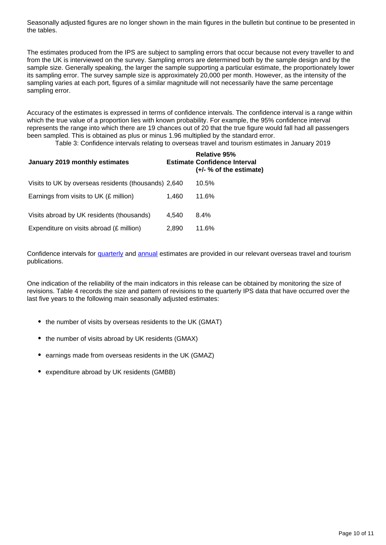Seasonally adjusted figures are no longer shown in the main figures in the bulletin but continue to be presented in the tables.

The estimates produced from the IPS are subject to sampling errors that occur because not every traveller to and from the UK is interviewed on the survey. Sampling errors are determined both by the sample design and by the sample size. Generally speaking, the larger the sample supporting a particular estimate, the proportionately lower its sampling error. The survey sample size is approximately 20,000 per month. However, as the intensity of the sampling varies at each port, figures of a similar magnitude will not necessarily have the same percentage sampling error.

Accuracy of the estimates is expressed in terms of confidence intervals. The confidence interval is a range within which the true value of a proportion lies with known probability. For example, the 95% confidence interval represents the range into which there are 19 chances out of 20 that the true figure would fall had all passengers been sampled. This is obtained as plus or minus 1.96 multiplied by the standard error.

Table 3: Confidence intervals relating to overseas travel and tourism estimates in January 2019

| January 2019 monthly estimates                       |       | <b>Relative 95%</b><br><b>Estimate Confidence Interval</b><br>$(+/- % of the estimate)$ |
|------------------------------------------------------|-------|-----------------------------------------------------------------------------------------|
| Visits to UK by overseas residents (thousands) 2,640 |       | 10.5%                                                                                   |
| Earnings from visits to UK (£ million)               | 1.460 | 11.6%                                                                                   |
| Visits abroad by UK residents (thousands)            | 4.540 | $8.4\%$                                                                                 |
| Expenditure on visits abroad (£ million)             | 2,890 | 11.6%                                                                                   |

Confidence intervals for [quarterly](http://www.ons.gov.uk/peoplepopulationandcommunity/leisureandtourism/articles/overseastravelandtourismprovisionalresults/previousReleases) and [annual](http://www.ons.gov.uk/peoplepopulationandcommunity/leisureandtourism/articles/traveltrends/previousReleases) estimates are provided in our relevant overseas travel and tourism publications.

One indication of the reliability of the main indicators in this release can be obtained by monitoring the size of revisions. Table 4 records the size and pattern of revisions to the quarterly IPS data that have occurred over the last five years to the following main seasonally adjusted estimates:

- the number of visits by overseas residents to the UK (GMAT)
- the number of visits abroad by UK residents (GMAX)
- earnings made from overseas residents in the UK (GMAZ)
- expenditure abroad by UK residents (GMBB)